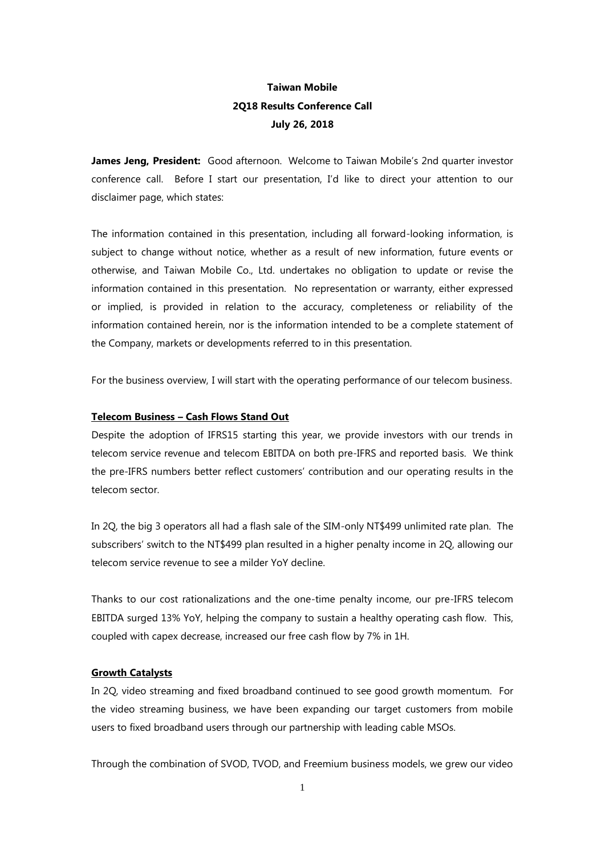# **Taiwan Mobile 2Q18 Results Conference Call July 26, 2018**

James Jeng, President: Good afternoon. Welcome to Taiwan Mobile's 2nd quarter investor conference call. Before I start our presentation, I'd like to direct your attention to our disclaimer page, which states:

The information contained in this presentation, including all forward-looking information, is subject to change without notice, whether as a result of new information, future events or otherwise, and Taiwan Mobile Co., Ltd. undertakes no obligation to update or revise the information contained in this presentation. No representation or warranty, either expressed or implied, is provided in relation to the accuracy, completeness or reliability of the information contained herein, nor is the information intended to be a complete statement of the Company, markets or developments referred to in this presentation.

For the business overview, I will start with the operating performance of our telecom business.

## **Telecom Business – Cash Flows Stand Out**

Despite the adoption of IFRS15 starting this year, we provide investors with our trends in telecom service revenue and telecom EBITDA on both pre-IFRS and reported basis. We think the pre-IFRS numbers better reflect customers' contribution and our operating results in the telecom sector.

In 2Q, the big 3 operators all had a flash sale of the SIM-only NT\$499 unlimited rate plan. The subscribers' switch to the NT\$499 plan resulted in a higher penalty income in 2Q, allowing our telecom service revenue to see a milder YoY decline.

Thanks to our cost rationalizations and the one-time penalty income, our pre-IFRS telecom EBITDA surged 13% YoY, helping the company to sustain a healthy operating cash flow. This, coupled with capex decrease, increased our free cash flow by 7% in 1H.

### **Growth Catalysts**

In 2Q, video streaming and fixed broadband continued to see good growth momentum. For the video streaming business, we have been expanding our target customers from mobile users to fixed broadband users through our partnership with leading cable MSOs.

Through the combination of SVOD, TVOD, and Freemium business models, we grew our video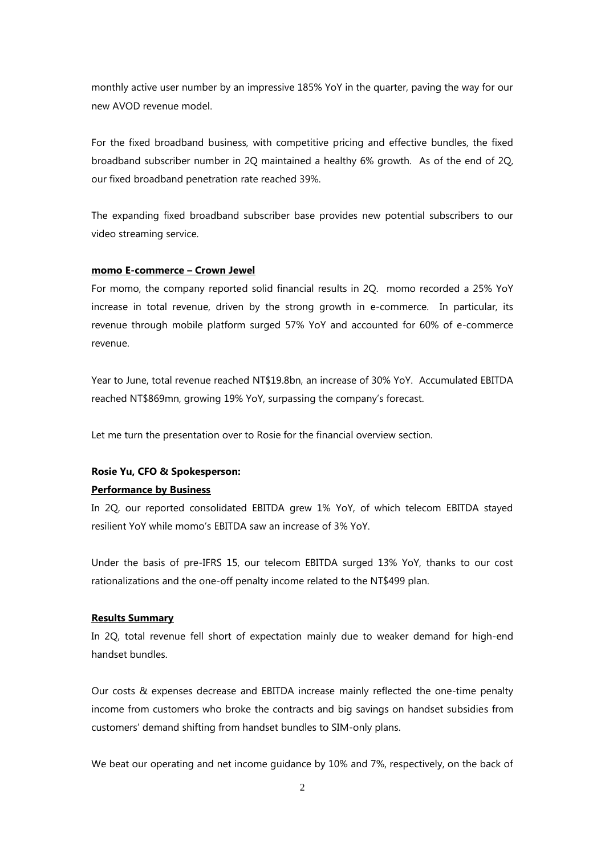monthly active user number by an impressive 185% YoY in the quarter, paving the way for our new AVOD revenue model.

For the fixed broadband business, with competitive pricing and effective bundles, the fixed broadband subscriber number in 2Q maintained a healthy 6% growth. As of the end of 2Q, our fixed broadband penetration rate reached 39%.

The expanding fixed broadband subscriber base provides new potential subscribers to our video streaming service.

#### **momo E-commerce – Crown Jewel**

For momo, the company reported solid financial results in 2Q. momo recorded a 25% YoY increase in total revenue, driven by the strong growth in e-commerce. In particular, its revenue through mobile platform surged 57% YoY and accounted for 60% of e-commerce revenue.

Year to June, total revenue reached NT\$19.8bn, an increase of 30% YoY. Accumulated EBITDA reached NT\$869mn, growing 19% YoY, surpassing the company's forecast.

Let me turn the presentation over to Rosie for the financial overview section.

### **Rosie Yu, CFO & Spokesperson:**

#### **Performance by Business**

In 2Q, our reported consolidated EBITDA grew 1% YoY, of which telecom EBITDA stayed resilient YoY while momo's EBITDA saw an increase of 3% YoY.

Under the basis of pre-IFRS 15, our telecom EBITDA surged 13% YoY, thanks to our cost rationalizations and the one-off penalty income related to the NT\$499 plan.

#### **Results Summary**

In 2Q, total revenue fell short of expectation mainly due to weaker demand for high-end handset bundles.

Our costs & expenses decrease and EBITDA increase mainly reflected the one-time penalty income from customers who broke the contracts and big savings on handset subsidies from customers' demand shifting from handset bundles to SIM-only plans.

We beat our operating and net income guidance by 10% and 7%, respectively, on the back of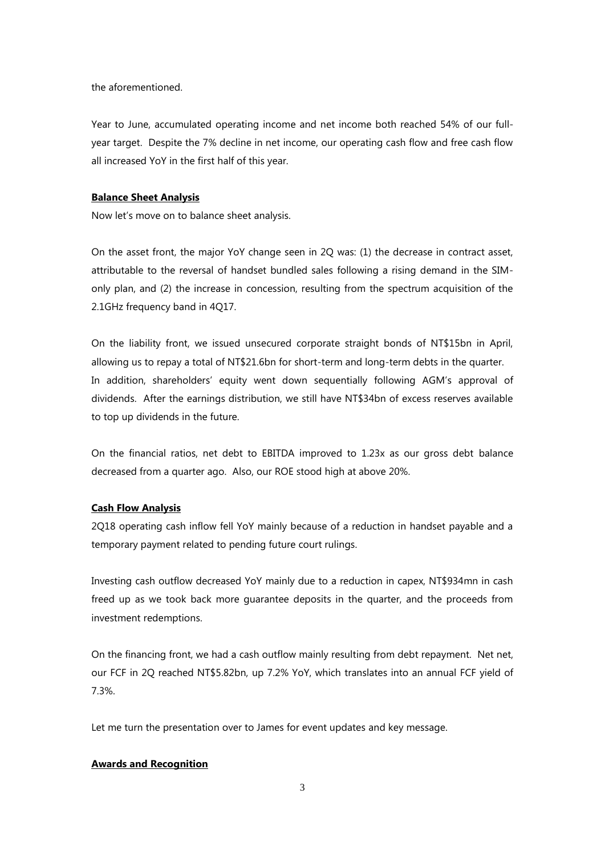the aforementioned.

Year to June, accumulated operating income and net income both reached 54% of our fullyear target. Despite the 7% decline in net income, our operating cash flow and free cash flow all increased YoY in the first half of this year.

### **Balance Sheet Analysis**

Now let's move on to balance sheet analysis.

On the asset front, the major YoY change seen in 2Q was: (1) the decrease in contract asset, attributable to the reversal of handset bundled sales following a rising demand in the SIMonly plan, and (2) the increase in concession, resulting from the spectrum acquisition of the 2.1GHz frequency band in 4Q17.

On the liability front, we issued unsecured corporate straight bonds of NT\$15bn in April, allowing us to repay a total of NT\$21.6bn for short-term and long-term debts in the quarter. In addition, shareholders' equity went down sequentially following AGM's approval of dividends. After the earnings distribution, we still have NT\$34bn of excess reserves available to top up dividends in the future.

On the financial ratios, net debt to EBITDA improved to 1.23x as our gross debt balance decreased from a quarter ago. Also, our ROE stood high at above 20%.

### **Cash Flow Analysis**

2Q18 operating cash inflow fell YoY mainly because of a reduction in handset payable and a temporary payment related to pending future court rulings.

Investing cash outflow decreased YoY mainly due to a reduction in capex, NT\$934mn in cash freed up as we took back more guarantee deposits in the quarter, and the proceeds from investment redemptions.

On the financing front, we had a cash outflow mainly resulting from debt repayment. Net net, our FCF in 2Q reached NT\$5.82bn, up 7.2% YoY, which translates into an annual FCF yield of 7.3%.

Let me turn the presentation over to James for event updates and key message.

### **Awards and Recognition**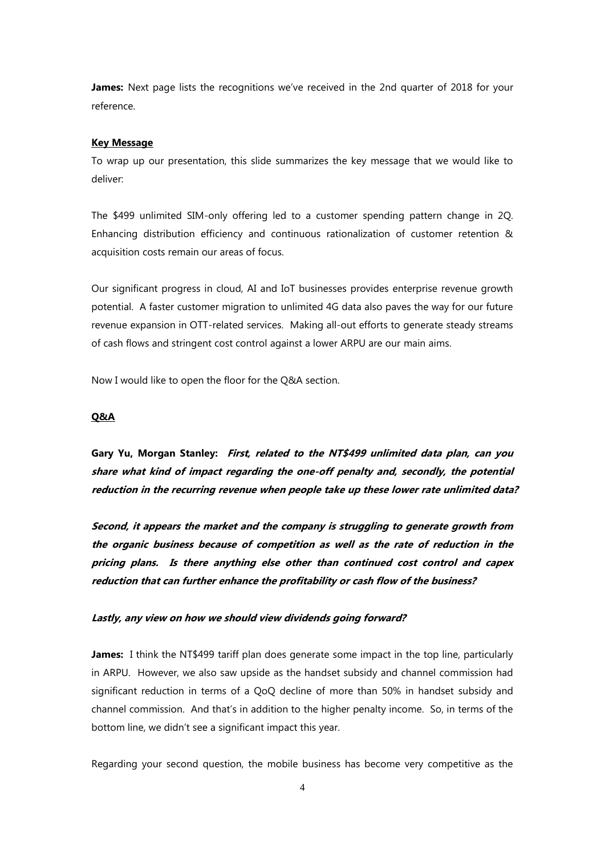**James:** Next page lists the recognitions we've received in the 2nd quarter of 2018 for your reference.

### **Key Message**

To wrap up our presentation, this slide summarizes the key message that we would like to deliver:

The \$499 unlimited SIM-only offering led to a customer spending pattern change in 2Q. Enhancing distribution efficiency and continuous rationalization of customer retention & acquisition costs remain our areas of focus.

Our significant progress in cloud, AI and IoT businesses provides enterprise revenue growth potential. A faster customer migration to unlimited 4G data also paves the way for our future revenue expansion in OTT-related services. Making all-out efforts to generate steady streams of cash flows and stringent cost control against a lower ARPU are our main aims.

Now I would like to open the floor for the Q&A section.

### **Q&A**

**Gary Yu, Morgan Stanley: First, related to the NT\$499 unlimited data plan, can you share what kind of impact regarding the one-off penalty and, secondly, the potential reduction in the recurring revenue when people take up these lower rate unlimited data?**

**Second, it appears the market and the company is struggling to generate growth from the organic business because of competition as well as the rate of reduction in the pricing plans. Is there anything else other than continued cost control and capex reduction that can further enhance the profitability or cash flow of the business?**

### **Lastly, any view on how we should view dividends going forward?**

**James:** I think the NT\$499 tariff plan does generate some impact in the top line, particularly in ARPU. However, we also saw upside as the handset subsidy and channel commission had significant reduction in terms of a QoQ decline of more than 50% in handset subsidy and channel commission. And that's in addition to the higher penalty income. So, in terms of the bottom line, we didn't see a significant impact this year.

Regarding your second question, the mobile business has become very competitive as the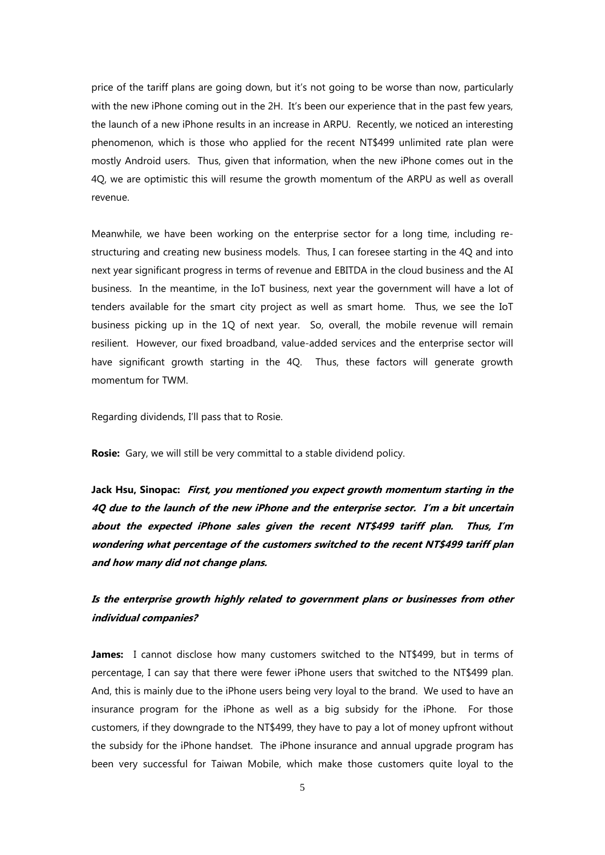price of the tariff plans are going down, but it's not going to be worse than now, particularly with the new iPhone coming out in the 2H. It's been our experience that in the past few years, the launch of a new iPhone results in an increase in ARPU. Recently, we noticed an interesting phenomenon, which is those who applied for the recent NT\$499 unlimited rate plan were mostly Android users. Thus, given that information, when the new iPhone comes out in the 4Q, we are optimistic this will resume the growth momentum of the ARPU as well as overall revenue.

Meanwhile, we have been working on the enterprise sector for a long time, including restructuring and creating new business models. Thus, I can foresee starting in the 4Q and into next year significant progress in terms of revenue and EBITDA in the cloud business and the AI business. In the meantime, in the IoT business, next year the government will have a lot of tenders available for the smart city project as well as smart home. Thus, we see the IoT business picking up in the 1Q of next year. So, overall, the mobile revenue will remain resilient. However, our fixed broadband, value-added services and the enterprise sector will have significant growth starting in the 4Q. Thus, these factors will generate growth momentum for TWM.

Regarding dividends, I'll pass that to Rosie.

**Rosie:** Gary, we will still be very committal to a stable dividend policy.

**Jack Hsu, Sinopac: First, you mentioned you expect growth momentum starting in the 4Q due to the launch of the new iPhone and the enterprise sector. I'm a bit uncertain about the expected iPhone sales given the recent NT\$499 tariff plan. Thus, I'm wondering what percentage of the customers switched to the recent NT\$499 tariff plan and how many did not change plans.**

**Is the enterprise growth highly related to government plans or businesses from other individual companies?**

**James:** I cannot disclose how many customers switched to the NT\$499, but in terms of percentage, I can say that there were fewer iPhone users that switched to the NT\$499 plan. And, this is mainly due to the iPhone users being very loyal to the brand. We used to have an insurance program for the iPhone as well as a big subsidy for the iPhone. For those customers, if they downgrade to the NT\$499, they have to pay a lot of money upfront without the subsidy for the iPhone handset. The iPhone insurance and annual upgrade program has been very successful for Taiwan Mobile, which make those customers quite loyal to the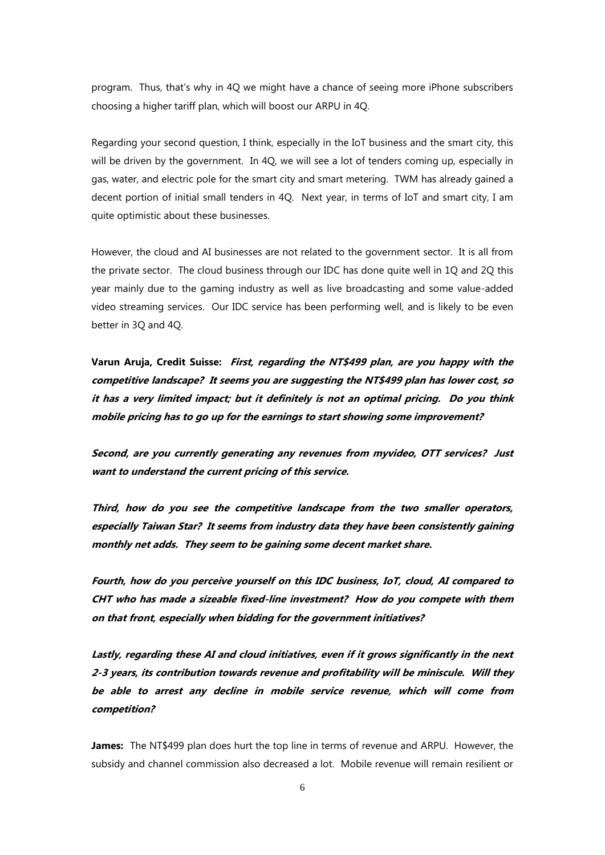program. Thus, that's why in 4Q we might have a chance of seeing more iPhone subscribers choosing a higher tariff plan, which will boost our ARPU in 4Q.

Regarding your second question, I think, especially in the IoT business and the smart city, this will be driven by the government. In 4Q, we will see a lot of tenders coming up, especially in gas, water, and electric pole for the smart city and smart metering. TWM has already gained a decent portion of initial small tenders in 4Q. Next year, in terms of IoT and smart city, I am quite optimistic about these businesses.

However, the cloud and AI businesses are not related to the government sector. It is all from the private sector. The cloud business through our IDC has done quite well in 1Q and 2Q this year mainly due to the gaming industry as well as live broadcasting and some value-added video streaming services. Our IDC service has been performing well, and is likely to be even better in 3Q and 4Q.

**Varun Aruja, Credit Suisse: First, regarding the NT\$499 plan, are you happy with the competitive landscape? It seems you are suggesting the NT\$499 plan has lower cost, so it has a very limited impact; but it definitely is not an optimal pricing. Do you think mobile pricing has to go up for the earnings to start showing some improvement?**

**Second, are you currently generating any revenues from myvideo, OTT services? Just want to understand the current pricing of this service.**

**Third, how do you see the competitive landscape from the two smaller operators, especially Taiwan Star? It seems from industry data they have been consistently gaining monthly net adds. They seem to be gaining some decent market share.**

**Fourth, how do you perceive yourself on this IDC business, IoT, cloud, AI compared to CHT who has made a sizeable fixed-line investment? How do you compete with them on that front, especially when bidding for the government initiatives?** 

**Lastly, regarding these AI and cloud initiatives, even if it grows significantly in the next 2-3 years, its contribution towards revenue and profitability will be miniscule. Will they be able to arrest any decline in mobile service revenue, which will come from competition?** 

**James:** The NT\$499 plan does hurt the top line in terms of revenue and ARPU. However, the subsidy and channel commission also decreased a lot. Mobile revenue will remain resilient or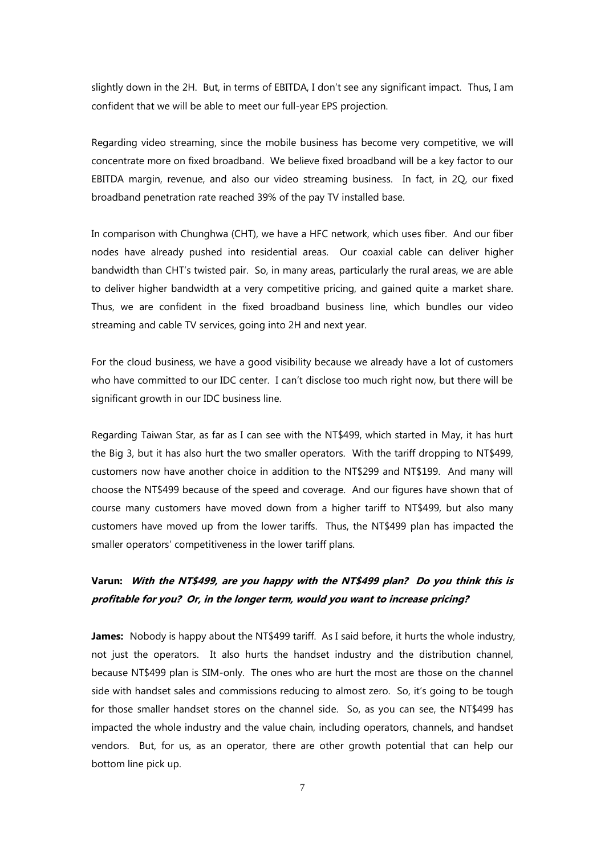slightly down in the 2H. But, in terms of EBITDA, I don't see any significant impact. Thus, I am confident that we will be able to meet our full-year EPS projection.

Regarding video streaming, since the mobile business has become very competitive, we will concentrate more on fixed broadband. We believe fixed broadband will be a key factor to our EBITDA margin, revenue, and also our video streaming business. In fact, in 2Q, our fixed broadband penetration rate reached 39% of the pay TV installed base.

In comparison with Chunghwa (CHT), we have a HFC network, which uses fiber. And our fiber nodes have already pushed into residential areas. Our coaxial cable can deliver higher bandwidth than CHT's twisted pair. So, in many areas, particularly the rural areas, we are able to deliver higher bandwidth at a very competitive pricing, and gained quite a market share. Thus, we are confident in the fixed broadband business line, which bundles our video streaming and cable TV services, going into 2H and next year.

For the cloud business, we have a good visibility because we already have a lot of customers who have committed to our IDC center. I can't disclose too much right now, but there will be significant growth in our IDC business line.

Regarding Taiwan Star, as far as I can see with the NT\$499, which started in May, it has hurt the Big 3, but it has also hurt the two smaller operators. With the tariff dropping to NT\$499, customers now have another choice in addition to the NT\$299 and NT\$199. And many will choose the NT\$499 because of the speed and coverage. And our figures have shown that of course many customers have moved down from a higher tariff to NT\$499, but also many customers have moved up from the lower tariffs. Thus, the NT\$499 plan has impacted the smaller operators' competitiveness in the lower tariff plans.

## **Varun: With the NT\$499, are you happy with the NT\$499 plan? Do you think this is profitable for you? Or, in the longer term, would you want to increase pricing?**

**James:** Nobody is happy about the NT\$499 tariff. As I said before, it hurts the whole industry, not just the operators. It also hurts the handset industry and the distribution channel, because NT\$499 plan is SIM-only. The ones who are hurt the most are those on the channel side with handset sales and commissions reducing to almost zero. So, it's going to be tough for those smaller handset stores on the channel side. So, as you can see, the NT\$499 has impacted the whole industry and the value chain, including operators, channels, and handset vendors. But, for us, as an operator, there are other growth potential that can help our bottom line pick up.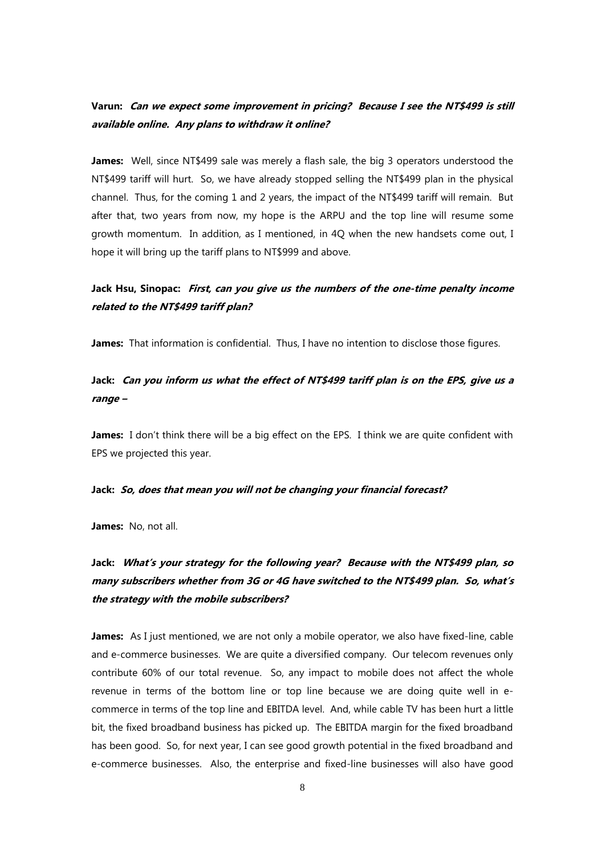## **Varun: Can we expect some improvement in pricing? Because I see the NT\$499 is still available online. Any plans to withdraw it online?**

James: Well, since NT\$499 sale was merely a flash sale, the big 3 operators understood the NT\$499 tariff will hurt. So, we have already stopped selling the NT\$499 plan in the physical channel. Thus, for the coming 1 and 2 years, the impact of the NT\$499 tariff will remain. But after that, two years from now, my hope is the ARPU and the top line will resume some growth momentum. In addition, as I mentioned, in 4Q when the new handsets come out, I hope it will bring up the tariff plans to NT\$999 and above.

## **Jack Hsu, Sinopac: First, can you give us the numbers of the one-time penalty income related to the NT\$499 tariff plan?**

**James:** That information is confidential. Thus, I have no intention to disclose those figures.

## **Jack: Can you inform us what the effect of NT\$499 tariff plan is on the EPS, give us a range –**

James: I don't think there will be a big effect on the EPS. I think we are quite confident with EPS we projected this year.

#### **Jack: So, does that mean you will not be changing your financial forecast?**

**James:** No, not all.

# **Jack: What's your strategy for the following year? Because with the NT\$499 plan, so many subscribers whether from 3G or 4G have switched to the NT\$499 plan. So, what's the strategy with the mobile subscribers?**

**James:** As I just mentioned, we are not only a mobile operator, we also have fixed-line, cable and e-commerce businesses. We are quite a diversified company. Our telecom revenues only contribute 60% of our total revenue. So, any impact to mobile does not affect the whole revenue in terms of the bottom line or top line because we are doing quite well in ecommerce in terms of the top line and EBITDA level. And, while cable TV has been hurt a little bit, the fixed broadband business has picked up. The EBITDA margin for the fixed broadband has been good. So, for next year, I can see good growth potential in the fixed broadband and e-commerce businesses. Also, the enterprise and fixed-line businesses will also have good